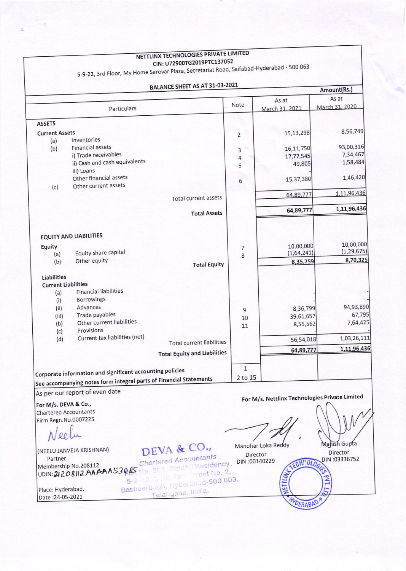NETTLINX TECHNOLOGIES PRIVATE LIMITED CIN: U72900TG2019PTC137052 5-9-22, 3rd Floor, My Home Sarovar Plaza, Secretariat Road, Saifabad-Hyderabad - 500 063 BALANCE SHEET AS AT 31-03-2021 Amount(Rs.) As at As at Note March 31, 2020 Particulars March 31, 2021 **ASSETS** 8,56,749 **Current Assets** 15,13,298  $\overline{\phantom{0}}$ Inventories  $(a)$ 93,00,316 Financial assets  $(b)$ 16,11,750 3 i) Trade receivables 7,34,467 17,77,545  $\overline{4}$ ii) Cash and cash equivalents 1,58,484 49,805 5 iii) Loans Other financial assets 1,46,420 15,37,380 6 Other current assets  $(c)$ 1,11,96,436 64,89,777 Total current assets 1,11,96,436 64,89,777 **Total Assets EQUITY AND LIABILITIES** 10,00,000 10.00.000 Equity  $\overline{7}$  $(1, 29, 675)$ Equity share capital  $(1,64,241)$  $(a)$ 8 8,70,325 8,35,759 Other equity  $(b)$ **Total Equity** Liabilities **Current Liabilities Financial liabilities**  $(a)$ **Borrowings**  $(i)$ 94,93,890 Advances  $(iii)$ 8,36,799  $\mathbf{q}$ Trade payables 67,795  $(iii)$ 39,61,657 10 Other current liabilities 7,64,425  $(b)$ 8,55,562 11 Provisions  $(c)$ Current tax liabilities (net) 1,03,26,111  $(d)$ 56,54,018 **Total current liabilities** 1,11,96,436 64,89,777 **Total Equity and Liabilities**  $\mathbf{1}$ Corporate information and significant accounting policies See accompanying notes form integral parts of Financial Statements 2 to 15 As per our report of even date For M/s. Nettlinx Technologies Private Limited For M/s. DEVA & Co., **Chartered Accountants** Firm Regn.No.000722S  $QQ$ DEVA & CO., Mahish Gupta Manohar Loka Reddy (NEELU JANVEJA KRISHNAN) Director **Chartered Accountants** Director Partner DIN:03336752 DIN:00140229 ECHNOLOG UDIN: 21208112 AAAAAS3085 No. 303, Siddhu Residency, Hill Ford treet No. 2, Basheerbagh, Hyderabad-500 003. ETTL Telangana, India. Place: Hyderabad. Date: 24-05-2021 DERABA